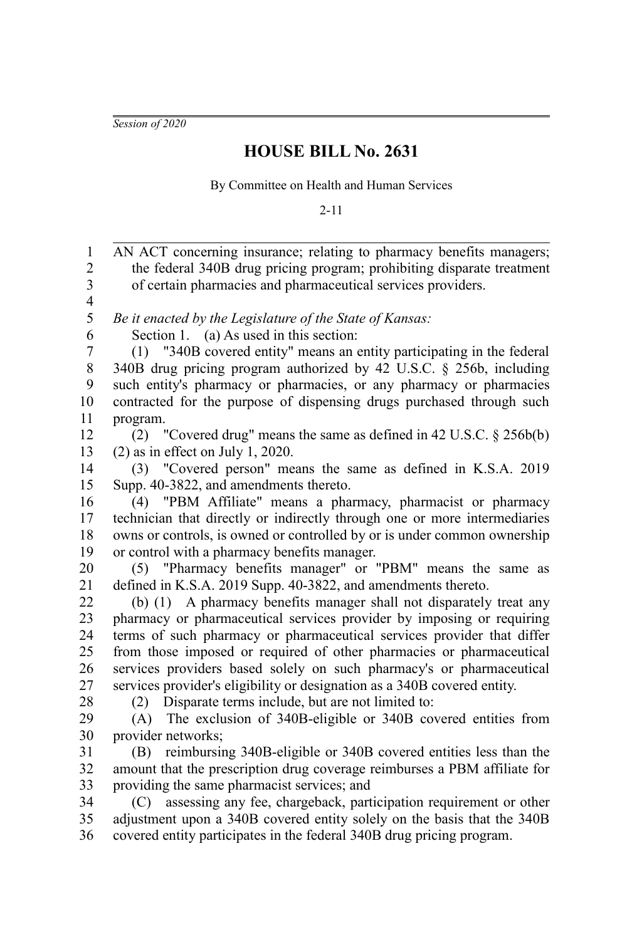*Session of 2020*

## **HOUSE BILL No. 2631**

By Committee on Health and Human Services

2-11

AN ACT concerning insurance; relating to pharmacy benefits managers; the federal 340B drug pricing program; prohibiting disparate treatment of certain pharmacies and pharmaceutical services providers. *Be it enacted by the Legislature of the State of Kansas:* Section 1. (a) As used in this section: (1) "340B covered entity" means an entity participating in the federal 340B drug pricing program authorized by 42 U.S.C. § 256b, including such entity's pharmacy or pharmacies, or any pharmacy or pharmacies contracted for the purpose of dispensing drugs purchased through such program. (2) "Covered drug" means the same as defined in 42 U.S.C. § 256b(b) (2) as in effect on July 1, 2020. (3) "Covered person" means the same as defined in K.S.A. 2019 Supp. 40-3822, and amendments thereto. (4) "PBM Affiliate" means a pharmacy, pharmacist or pharmacy technician that directly or indirectly through one or more intermediaries owns or controls, is owned or controlled by or is under common ownership or control with a pharmacy benefits manager. (5) "Pharmacy benefits manager" or "PBM" means the same as defined in K.S.A. 2019 Supp. 40-3822, and amendments thereto. (b) (1) A pharmacy benefits manager shall not disparately treat any pharmacy or pharmaceutical services provider by imposing or requiring terms of such pharmacy or pharmaceutical services provider that differ from those imposed or required of other pharmacies or pharmaceutical services providers based solely on such pharmacy's or pharmaceutical services provider's eligibility or designation as a 340B covered entity. (2) Disparate terms include, but are not limited to: (A) The exclusion of 340B-eligible or 340B covered entities from provider networks; (B) reimbursing 340B-eligible or 340B covered entities less than the amount that the prescription drug coverage reimburses a PBM affiliate for providing the same pharmacist services; and (C) assessing any fee, chargeback, participation requirement or other adjustment upon a 340B covered entity solely on the basis that the 340B covered entity participates in the federal 340B drug pricing program. 1 2 3 4 5 6 7 8 9 10 11 12 13 14 15 16 17 18 19 20 21 22 23 24 25 26 27 28 29 30 31 32 33 34 35 36